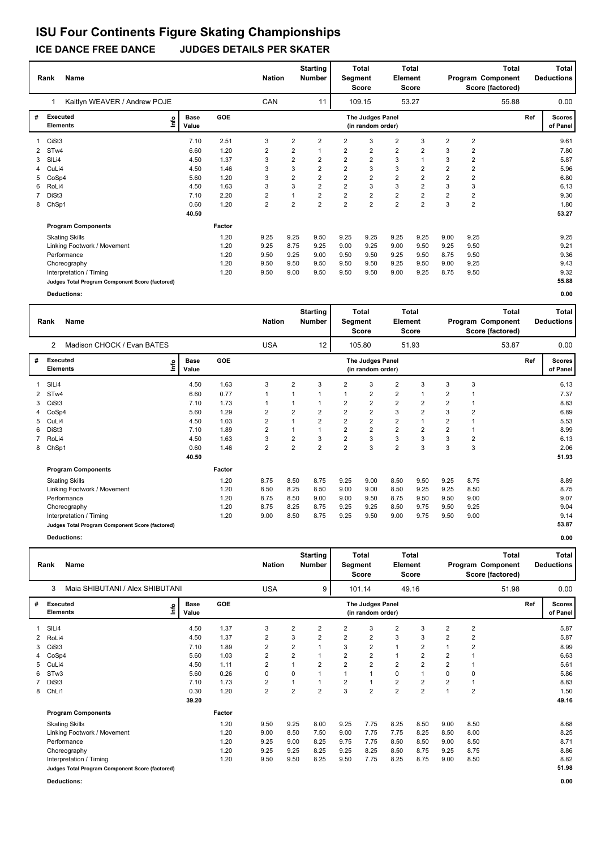### **ICE DANCE FREE DANCE JUDGES DETAILS PER SKATER**

|   | <b>Name</b><br>Rank                             | <b>Nation</b>                |            | <b>Starting</b><br><b>Number</b> |                         | <b>Total</b><br>Segment<br><b>Score</b> | <b>Element</b> | <b>Total</b><br><b>Score</b>          |                |                | Total<br>Program Component<br>Score (factored) |                | Total<br><b>Deductions</b> |     |                           |
|---|-------------------------------------------------|------------------------------|------------|----------------------------------|-------------------------|-----------------------------------------|----------------|---------------------------------------|----------------|----------------|------------------------------------------------|----------------|----------------------------|-----|---------------------------|
|   | Kaitlyn WEAVER / Andrew POJE                    |                              |            | <b>CAN</b>                       |                         | 11                                      |                | 109.15                                |                | 53.27          |                                                |                | 55.88                      |     | 0.00                      |
| # | <b>Executed</b><br><b>Elements</b>              | <b>Base</b><br>lnfo<br>Value | <b>GOE</b> |                                  |                         |                                         |                | The Judges Panel<br>(in random order) |                |                |                                                |                |                            | Ref | <b>Scores</b><br>of Panel |
|   | CiSt3                                           | 7.10                         | 2.51       | 3                                | $\overline{2}$          | $\overline{2}$                          | $\overline{2}$ | 3                                     | $\overline{2}$ | 3              | $\overline{2}$                                 | $\overline{2}$ |                            |     | 9.61                      |
|   | ST <sub>w</sub> 4                               | 6.60                         | 1.20       | 2                                | 2                       |                                         | 2              | $\overline{2}$                        | $\overline{2}$ | $\overline{2}$ | 3                                              | 2              |                            |     | 7.80                      |
| 3 | SIL <sub>i4</sub>                               | 4.50                         | 1.37       | 3                                | $\overline{\mathbf{c}}$ | 2                                       | $\overline{2}$ | $\overline{2}$                        | 3              |                | 3                                              | $\overline{2}$ |                            |     | 5.87                      |
|   | CuLi4                                           | 4.50                         | 1.46       | 3                                | 3                       | $\overline{2}$                          | $\overline{2}$ | 3                                     | 3              | $\overline{2}$ | $\overline{2}$                                 | $\overline{2}$ |                            |     | 5.96                      |
| 5 | CoSp4                                           | 5.60                         | 1.20       | 3                                | $\overline{\mathbf{c}}$ | $\overline{\mathbf{c}}$                 | $\overline{2}$ | $\overline{2}$                        | $\overline{2}$ | $\overline{2}$ | $\overline{2}$                                 | $\overline{2}$ |                            |     | 6.80                      |
| 6 | RoLi4                                           | 4.50                         | 1.63       | 3                                | 3                       | 2                                       | $\overline{2}$ | 3                                     | 3              | $\overline{2}$ | 3                                              | 3              |                            |     | 6.13                      |
|   | DiSt3                                           | 7.10                         | 2.20       | 2                                | 1                       | 2                                       | $\overline{2}$ | $\overline{2}$                        | $\overline{2}$ | $\overline{2}$ | $\overline{2}$                                 | $\overline{2}$ |                            |     | 9.30                      |
|   | 8 ChSp1                                         | 0.60                         | 1.20       | $\overline{2}$                   | $\overline{2}$          | $\overline{2}$                          | $\overline{2}$ | $\overline{2}$                        | $\overline{2}$ | $\overline{2}$ | 3                                              | $\overline{2}$ |                            |     | 1.80                      |
|   |                                                 | 40.50                        |            |                                  |                         |                                         |                |                                       |                |                |                                                |                |                            |     | 53.27                     |
|   | <b>Program Components</b>                       |                              | Factor     |                                  |                         |                                         |                |                                       |                |                |                                                |                |                            |     |                           |
|   | <b>Skating Skills</b>                           |                              | 1.20       | 9.25                             | 9.25                    | 9.50                                    | 9.25           | 9.25                                  | 9.25           | 9.25           | 9.00                                           | 9.25           |                            |     | 9.25                      |
|   | Linking Footwork / Movement                     |                              | 1.20       | 9.25                             | 8.75                    | 9.25                                    | 9.00           | 9.25                                  | 9.00           | 9.50           | 9.25                                           | 9.50           |                            |     | 9.21                      |
|   | Performance                                     |                              | 1.20       | 9.50                             | 9.25                    | 9.00                                    | 9.50           | 9.50                                  | 9.25           | 9.50           | 8.75                                           | 9.50           |                            |     | 9.36                      |
|   | Choreography                                    |                              | 1.20       | 9.50                             | 9.50                    | 9.50                                    | 9.50           | 9.50                                  | 9.25           | 9.50           | 9.00                                           | 9.25           |                            |     | 9.43                      |
|   | Interpretation / Timing                         |                              | 1.20       | 9.50                             | 9.00                    | 9.50                                    | 9.50           | 9.50                                  | 9.00           | 9.25           | 8.75                                           | 9.50           |                            |     | 9.32                      |
|   | Judges Total Program Component Score (factored) |                              |            |                                  |                         |                                         |                |                                       |                |                |                                                |                |                            |     | 55.88                     |
|   | <b>Deductions:</b>                              |                              |            |                                  |                         |                                         |                |                                       |                |                |                                                |                |                            |     | 0.00                      |

|              | <b>Name</b><br>Rank                             |                      | <b>Nation</b> |                | <b>Starting</b><br><b>Number</b> | Segment        | <b>Total</b><br><b>Score</b> | Element                               | Total<br>Score          |                |                | <b>Total</b><br>Program Component<br>Score (factored) |       | <b>Total</b><br><b>Deductions</b> |                           |
|--------------|-------------------------------------------------|----------------------|---------------|----------------|----------------------------------|----------------|------------------------------|---------------------------------------|-------------------------|----------------|----------------|-------------------------------------------------------|-------|-----------------------------------|---------------------------|
|              | Madison CHOCK / Evan BATES<br>2                 |                      |               | <b>USA</b>     |                                  | 12             |                              | 105.80                                |                         | 51.93          |                |                                                       | 53.87 |                                   | 0.00                      |
| #            | Executed<br>lnfo<br><b>Elements</b>             | <b>Base</b><br>Value | GOE           |                |                                  |                |                              | The Judges Panel<br>(in random order) |                         |                |                |                                                       |       | Ref                               | <b>Scores</b><br>of Panel |
| $\mathbf{1}$ | SILi4                                           | 4.50                 | 1.63          | 3              | $\overline{2}$                   | 3              | 2                            | 3                                     | 2                       | 3              | 3              | 3                                                     |       |                                   | 6.13                      |
| 2            | ST <sub>w</sub> 4                               | 6.60                 | 0.77          | 1              | $\overline{1}$                   |                |                              | $\overline{2}$                        | 2                       | $\mathbf{1}$   | 2              |                                                       |       |                                   | 7.37                      |
| 3            | CiSt <sub>3</sub>                               | 7.10                 | 1.73          |                | $\overline{1}$                   |                | 2                            | $\overline{2}$                        | $\overline{\mathbf{c}}$ | $\overline{2}$ | 2              |                                                       |       |                                   | 8.83                      |
|              | CoSp4                                           | 5.60                 | 1.29          | 2              | $\overline{2}$                   | 2              | $\overline{2}$               | $\overline{2}$                        | 3                       | $\overline{2}$ | 3              | $\overline{2}$                                        |       |                                   | 6.89                      |
| 5            | CuLi4                                           | 4.50                 | 1.03          | 2              |                                  | 2              | $\overline{2}$               | $\overline{2}$                        | $\overline{\mathbf{c}}$ | 1              | 2              |                                                       |       |                                   | 5.53                      |
| 6            | DiSt3                                           | 7.10                 | 1.89          | 2              |                                  |                | $\overline{2}$               | $\overline{2}$                        | $\overline{2}$          | $\overline{2}$ | $\overline{2}$ |                                                       |       |                                   | 8.99                      |
|              | RoLi4                                           | 4.50                 | 1.63          | 3              | $\overline{2}$                   | 3              | $\overline{2}$               | 3                                     | 3                       | 3              | 3              | 2                                                     |       |                                   | 6.13                      |
| 8            | ChSp1                                           | 0.60                 | 1.46          | $\overline{2}$ | $\overline{2}$                   | $\overline{2}$ | $\overline{2}$               | 3                                     | $\overline{2}$          | 3              | 3              | 3                                                     |       |                                   | 2.06                      |
|              |                                                 | 40.50                |               |                |                                  |                |                              |                                       |                         |                |                |                                                       |       |                                   | 51.93                     |
|              | <b>Program Components</b>                       |                      | Factor        |                |                                  |                |                              |                                       |                         |                |                |                                                       |       |                                   |                           |
|              | <b>Skating Skills</b>                           |                      | 1.20          | 8.75           | 8.50                             | 8.75           | 9.25                         | 9.00                                  | 8.50                    | 9.50           | 9.25           | 8.75                                                  |       |                                   | 8.89                      |
|              | Linking Footwork / Movement                     |                      | 1.20          | 8.50           | 8.25                             | 8.50           | 9.00                         | 9.00                                  | 8.50                    | 9.25           | 9.25           | 8.50                                                  |       |                                   | 8.75                      |
|              | Performance                                     |                      | 1.20          | 8.75           | 8.50                             | 9.00           | 9.00                         | 9.50                                  | 8.75                    | 9.50           | 9.50           | 9.00                                                  |       |                                   | 9.07                      |
|              | Choreography                                    |                      | 1.20          | 8.75           | 8.25                             | 8.75           | 9.25                         | 9.25                                  | 8.50                    | 9.75           | 9.50           | 9.25                                                  |       |                                   | 9.04                      |
|              | Interpretation / Timing                         |                      | 1.20          | 9.00           | 8.50                             | 8.75           | 9.25                         | 9.50                                  | 9.00                    | 9.75           | 9.50           | 9.00                                                  |       |                                   | 9.14                      |
|              | Judges Total Program Component Score (factored) |                      |               |                |                                  |                |                              |                                       |                         |                |                |                                                       |       |                                   | 53.87                     |

**Deductions: 0.00**

|    | Name<br>Rank                                    |                      | <b>Nation</b> |                | <b>Starting</b><br><b>Number</b> | Segment        | <b>Total</b><br><b>Score</b> | Element                               | <b>Total</b><br><b>Score</b> |                |                | <b>Total</b><br>Program Component<br>Score (factored) |       | Total<br><b>Deductions</b> |                           |
|----|-------------------------------------------------|----------------------|---------------|----------------|----------------------------------|----------------|------------------------------|---------------------------------------|------------------------------|----------------|----------------|-------------------------------------------------------|-------|----------------------------|---------------------------|
|    | Maia SHIBUTANI / Alex SHIBUTANI<br>3            |                      |               | <b>USA</b>     |                                  | 9              |                              | 101.14                                |                              | 49.16          |                |                                                       | 51.98 |                            | 0.00                      |
| #  | Executed<br>lnfo<br><b>Elements</b>             | <b>Base</b><br>Value | GOE           |                |                                  |                |                              | The Judges Panel<br>(in random order) |                              |                |                |                                                       |       | Ref                        | <b>Scores</b><br>of Panel |
|    | SILi4                                           | 4.50                 | 1.37          | 3              | 2                                | 2              | $\overline{2}$               | 3                                     | $\overline{2}$               | 3              | $\overline{2}$ | 2                                                     |       |                            | 5.87                      |
| 2  | RoLi4                                           | 4.50                 | 1.37          | $\overline{2}$ | 3                                | $\overline{2}$ | $\overline{2}$               | $\overline{2}$                        | 3                            | 3              | $\overline{2}$ | $\overline{2}$                                        |       |                            | 5.87                      |
| 3  | CiSt <sub>3</sub>                               | 7.10                 | 1.89          | 2              | 2                                |                | 3                            | $\overline{2}$                        | $\mathbf{1}$                 | 2              |                | 2                                                     |       |                            | 8.99                      |
| 4  | CoSp4                                           | 5.60                 | 1.03          | $\overline{2}$ | 2                                |                | $\overline{2}$               | $\overline{2}$                        | $\mathbf{1}$                 | 2              | 2              |                                                       |       |                            | 6.63                      |
| 5. | CuLi4                                           | 4.50                 | 1.11          | $\overline{2}$ |                                  | $\overline{2}$ | $\overline{2}$               | $\overline{2}$                        | $\overline{2}$               | $\overline{2}$ | $\overline{2}$ | 1                                                     |       |                            | 5.61                      |
| 6  | ST <sub>w</sub> 3                               | 5.60                 | 0.26          | 0              | 0                                |                | $\overline{1}$               | $\overline{1}$                        | $\mathbf 0$                  | 1              | $\Omega$       | 0                                                     |       |                            | 5.86                      |
|    | DiSt <sub>3</sub>                               | 7.10                 | 1.73          | $\overline{2}$ | 1                                |                | $\overline{2}$               | $\overline{1}$                        | $\overline{2}$               | 2              | $\overline{2}$ | 1                                                     |       |                            | 8.83                      |
| 8  | ChLi1                                           | 0.30                 | 1.20          | $\overline{2}$ | $\overline{2}$                   | $\overline{2}$ | 3                            | $\overline{2}$                        | $\overline{2}$               | 2              | $\overline{1}$ | 2                                                     |       |                            | 1.50                      |
|    |                                                 | 39.20                |               |                |                                  |                |                              |                                       |                              |                |                |                                                       |       |                            | 49.16                     |
|    | <b>Program Components</b>                       |                      | Factor        |                |                                  |                |                              |                                       |                              |                |                |                                                       |       |                            |                           |
|    | <b>Skating Skills</b>                           |                      | 1.20          | 9.50           | 9.25                             | 8.00           | 9.25                         | 7.75                                  | 8.25                         | 8.50           | 9.00           | 8.50                                                  |       |                            | 8.68                      |
|    | Linking Footwork / Movement                     |                      | 1.20          | 9.00           | 8.50                             | 7.50           | 9.00                         | 7.75                                  | 7.75                         | 8.25           | 8.50           | 8.00                                                  |       |                            | 8.25                      |
|    | Performance                                     |                      | 1.20          | 9.25           | 9.00                             | 8.25           | 9.75                         | 7.75                                  | 8.50                         | 8.50           | 9.00           | 8.50                                                  |       |                            | 8.71                      |
|    | Choreography                                    |                      | 1.20          | 9.25           | 9.25                             | 8.25           | 9.25                         | 8.25                                  | 8.50                         | 8.75           | 9.25           | 8.75                                                  |       |                            | 8.86                      |
|    | Interpretation / Timing                         |                      | 1.20          | 9.50           | 9.50                             | 8.25           | 9.50                         | 7.75                                  | 8.25                         | 8.75           | 9.00           | 8.50                                                  |       |                            | 8.82                      |
|    | Judges Total Program Component Score (factored) |                      |               |                |                                  |                |                              |                                       |                              |                |                |                                                       |       |                            | 51.98                     |
|    | Deductions:                                     |                      |               |                |                                  |                |                              |                                       |                              |                |                |                                                       |       |                            | 0.00                      |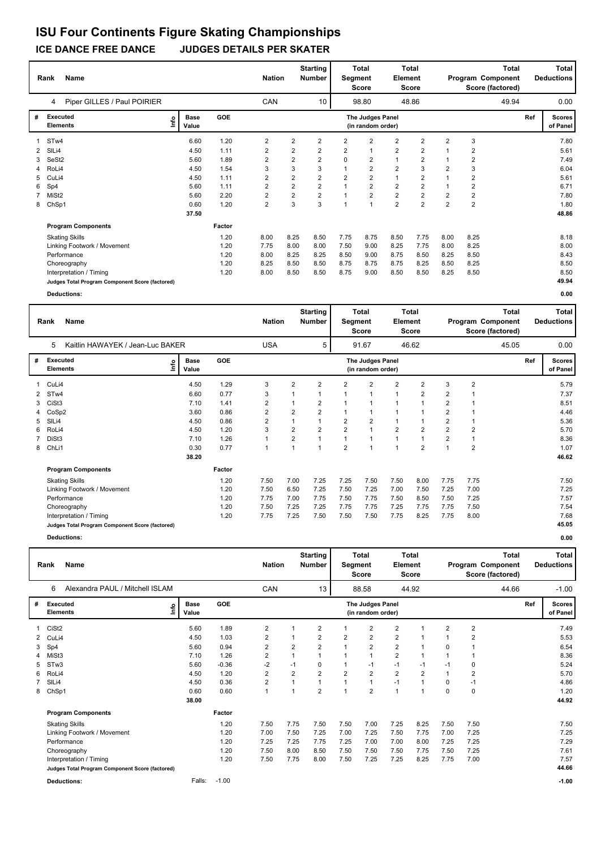### **ICE DANCE FREE DANCE JUDGES DETAILS PER SKATER**

|              | Name<br>Rank                                    |      |                      |        | <b>Nation</b>  |                | <b>Starting</b><br><b>Number</b> | Segment     | <b>Total</b><br><b>Score</b>          | <b>Element</b> | <b>Total</b><br><b>Score</b> |                |                         | <b>Total</b><br>Program Component<br>Score (factored) |     | Total<br><b>Deductions</b> |
|--------------|-------------------------------------------------|------|----------------------|--------|----------------|----------------|----------------------------------|-------------|---------------------------------------|----------------|------------------------------|----------------|-------------------------|-------------------------------------------------------|-----|----------------------------|
|              | Piper GILLES / Paul POIRIER<br>4                |      |                      |        | CAN            |                | 10                               |             | 98.80                                 |                | 48.86                        |                |                         | 49.94                                                 |     | 0.00                       |
| #            | Executed<br><b>Elements</b>                     | lnfo | <b>Base</b><br>Value | GOE    |                |                |                                  |             | The Judges Panel<br>(in random order) |                |                              |                |                         |                                                       | Ref | <b>Scores</b><br>of Panel  |
|              | ST <sub>w</sub> 4                               |      | 6.60                 | 1.20   | $\overline{2}$ | $\overline{2}$ | $\overline{2}$                   | 2           | $\overline{2}$                        | $\overline{2}$ | $\overline{2}$               | $\overline{2}$ | 3                       |                                                       |     | 7.80                       |
| $\mathbf{2}$ | SIL <sub>i4</sub>                               |      | 4.50                 | 1.11   | 2              | 2              | 2                                | 2           | $\overline{1}$                        | $\overline{2}$ | $\overline{2}$               | $\mathbf 1$    | $\overline{2}$          |                                                       |     | 5.61                       |
|              | SeSt2                                           |      | 5.60                 | 1.89   | 2              | 2              | $\overline{2}$                   | 0           | $\overline{2}$                        | $\mathbf{1}$   | $\overline{2}$               |                | $\overline{\mathbf{c}}$ |                                                       |     | 7.49                       |
|              | RoLi4                                           |      | 4.50                 | 1.54   | 3              | 3              | 3                                |             | $\overline{2}$                        | $\overline{2}$ | 3                            | $\overline{2}$ | 3                       |                                                       |     | 6.04                       |
| 5            | CuLi4                                           |      | 4.50                 | 1.11   | $\overline{2}$ | 2              | $\overline{c}$                   | 2           | $\overline{2}$                        | 1              | 2                            |                | $\overline{\mathbf{c}}$ |                                                       |     | 5.61                       |
| 6            | Sp4                                             |      | 5.60                 | 1.11   | $\overline{2}$ | $\overline{2}$ | $\overline{2}$                   |             | $\overline{2}$                        | $\overline{2}$ | $\overline{2}$               |                | $\overline{2}$          |                                                       |     | 6.71                       |
|              | MiSt2                                           |      | 5.60                 | 2.20   | 2              | $\overline{2}$ | $\overline{2}$                   |             | $\overline{2}$                        | $\overline{2}$ | $\overline{2}$               | $\overline{2}$ | $\overline{2}$          |                                                       |     | 7.80                       |
| 8            | ChSp1                                           |      | 0.60                 | 1.20   | $\overline{2}$ | 3              | 3                                | $\mathbf 1$ | $\overline{1}$                        | $\overline{2}$ | $\overline{2}$               | $\overline{2}$ | $\overline{2}$          |                                                       |     | 1.80                       |
|              |                                                 |      | 37.50                |        |                |                |                                  |             |                                       |                |                              |                |                         |                                                       |     | 48.86                      |
|              | <b>Program Components</b>                       |      |                      | Factor |                |                |                                  |             |                                       |                |                              |                |                         |                                                       |     |                            |
|              | <b>Skating Skills</b>                           |      |                      | 1.20   | 8.00           | 8.25           | 8.50                             | 7.75        | 8.75                                  | 8.50           | 7.75                         | 8.00           | 8.25                    |                                                       |     | 8.18                       |
|              | Linking Footwork / Movement                     |      |                      | 1.20   | 7.75           | 8.00           | 8.00                             | 7.50        | 9.00                                  | 8.25           | 7.75                         | 8.00           | 8.25                    |                                                       |     | 8.00                       |
|              | Performance                                     |      |                      | 1.20   | 8.00           | 8.25           | 8.25                             | 8.50        | 9.00                                  | 8.75           | 8.50                         | 8.25           | 8.50                    |                                                       |     | 8.43                       |
|              | Choreography                                    |      |                      | 1.20   | 8.25           | 8.50           | 8.50                             | 8.75        | 8.75                                  | 8.75           | 8.25                         | 8.50           | 8.25                    |                                                       |     | 8.50                       |
|              | Interpretation / Timing                         |      |                      | 1.20   | 8.00           | 8.50           | 8.50                             | 8.75        | 9.00                                  | 8.50           | 8.50                         | 8.25           | 8.50                    |                                                       |     | 8.50                       |
|              | Judges Total Program Component Score (factored) |      |                      |        |                |                |                                  |             |                                       |                |                              |                |                         |                                                       |     | 49.94                      |
|              | <b>Deductions:</b>                              |      |                      |        |                |                |                                  |             |                                       |                |                              |                |                         |                                                       |     | 0.00                       |

|   | <b>Name</b><br>Rank                             |                              | <b>Nation</b> |                | <b>Starting</b><br>Number | Segment        | Total<br><b>Score</b> | Element                               | <b>Total</b><br><b>Score</b> |                         |                | <b>Total</b><br>Program Component<br>Score (factored) |       | <b>Total</b><br><b>Deductions</b> |                           |
|---|-------------------------------------------------|------------------------------|---------------|----------------|---------------------------|----------------|-----------------------|---------------------------------------|------------------------------|-------------------------|----------------|-------------------------------------------------------|-------|-----------------------------------|---------------------------|
|   | 5<br>Kaitlin HAWAYEK / Jean-Luc BAKER           |                              |               | <b>USA</b>     |                           | 5              |                       | 91.67                                 |                              | 46.62                   |                |                                                       | 45.05 |                                   | 0.00                      |
| # | Executed<br><b>Elements</b>                     | <b>Base</b><br>lnfo<br>Value | <b>GOE</b>    |                |                           |                |                       | The Judges Panel<br>(in random order) |                              |                         |                |                                                       |       | Ref                               | <b>Scores</b><br>of Panel |
|   | 1 CuLi4                                         | 4.50                         | 1.29          | 3              | 2                         | $\overline{2}$ | $\overline{2}$        | $\overline{2}$                        | $\overline{2}$               | 2                       | 3              | 2                                                     |       |                                   | 5.79                      |
|   | 2 STw4                                          | 6.60                         | 0.77          | 3              | 1                         | 1              |                       |                                       |                              | 2                       | 2              |                                                       |       |                                   | 7.37                      |
| 3 | CiSt <sub>3</sub>                               | 7.10                         | 1.41          | 2              | $\mathbf{1}$              | $\overline{2}$ |                       |                                       |                              |                         | 2              |                                                       |       |                                   | 8.51                      |
|   | 4 CoSp2                                         | 3.60                         | 0.86          | 2              | $\overline{2}$            | $\overline{2}$ |                       |                                       |                              |                         | 2              |                                                       |       |                                   | 4.46                      |
| 5 | SILi4                                           | 4.50                         | 0.86          | 2              | 1                         | 1              | 2                     | $\overline{2}$                        |                              |                         | 2              |                                                       |       |                                   | 5.36                      |
| 6 | RoLi4                                           | 4.50                         | 1.20          | 3              | $\overline{2}$            | $\overline{2}$ | $\overline{2}$        |                                       | $\overline{2}$               | $\overline{\mathbf{c}}$ | $\overline{2}$ | $\overline{2}$                                        |       |                                   | 5.70                      |
|   | DiSt3                                           | 7.10                         | 1.26          |                | $\overline{\mathbf{c}}$   | $\mathbf{1}$   |                       |                                       |                              | 1                       | 2              |                                                       |       |                                   | 8.36                      |
| 8 | ChLi1                                           | 0.30                         | 0.77          | $\overline{1}$ |                           | 1              | $\overline{2}$        |                                       |                              | $\overline{2}$          |                | $\overline{2}$                                        |       |                                   | 1.07                      |
|   |                                                 | 38.20                        |               |                |                           |                |                       |                                       |                              |                         |                |                                                       |       |                                   | 46.62                     |
|   | <b>Program Components</b>                       |                              | Factor        |                |                           |                |                       |                                       |                              |                         |                |                                                       |       |                                   |                           |
|   | <b>Skating Skills</b>                           |                              | 1.20          | 7.50           | 7.00                      | 7.25           | 7.25                  | 7.50                                  | 7.50                         | 8.00                    | 7.75           | 7.75                                                  |       |                                   | 7.50                      |
|   | Linking Footwork / Movement                     |                              | 1.20          | 7.50           | 6.50                      | 7.25           | 7.50                  | 7.25                                  | 7.00                         | 7.50                    | 7.25           | 7.00                                                  |       |                                   | 7.25                      |
|   | Performance                                     |                              | 1.20          | 7.75           | 7.00                      | 7.75           | 7.50                  | 7.75                                  | 7.50                         | 8.50                    | 7.50           | 7.25                                                  |       |                                   | 7.57                      |
|   | Choreography                                    |                              | 1.20          | 7.50           | 7.25                      | 7.25           | 7.75                  | 7.75                                  | 7.25                         | 7.75                    | 7.75           | 7.50                                                  |       |                                   | 7.54                      |
|   | Interpretation / Timing                         |                              | 1.20          | 7.75           | 7.25                      | 7.50           | 7.50                  | 7.50                                  | 7.75                         | 8.25                    | 7.75           | 8.00                                                  |       |                                   | 7.68                      |
|   | Judges Total Program Component Score (factored) |                              |               |                |                           |                |                       |                                       |                              |                         |                |                                                       |       |                                   | 45.05                     |

**Deductions: 0.00**

|   | <b>Name</b><br>Rank                             |                      |         | <b>Nation</b>           |                | <b>Starting</b><br><b>Number</b> | Segment        | <b>Total</b><br><b>Score</b>          | Element        | <b>Total</b><br><b>Score</b> |                |                | <b>Total</b><br>Program Component<br>Score (factored) |     | Total<br><b>Deductions</b> |
|---|-------------------------------------------------|----------------------|---------|-------------------------|----------------|----------------------------------|----------------|---------------------------------------|----------------|------------------------------|----------------|----------------|-------------------------------------------------------|-----|----------------------------|
|   | Alexandra PAUL / Mitchell ISLAM<br>6            |                      |         | CAN                     |                | 13                               |                | 88.58                                 |                | 44.92                        |                |                | 44.66                                                 |     | $-1.00$                    |
| # | Executed<br>۴ů<br><b>Elements</b>               | <b>Base</b><br>Value | GOE     |                         |                |                                  |                | The Judges Panel<br>(in random order) |                |                              |                |                |                                                       | Ref | <b>Scores</b><br>of Panel  |
|   | CiSt <sub>2</sub>                               | 5.60                 | 1.89    | 2                       |                | $\overline{2}$                   |                | $\overline{2}$                        | $\overline{2}$ |                              | $\overline{2}$ | $\overline{2}$ |                                                       |     | 7.49                       |
|   | CuLi4                                           | 4.50                 | 1.03    | 2                       |                | $\overline{2}$                   | $\overline{2}$ | $\overline{2}$                        | $\overline{2}$ |                              |                | $\overline{2}$ |                                                       |     | 5.53                       |
| 3 | Sp4                                             | 5.60                 | 0.94    | $\overline{\mathbf{c}}$ | $\overline{2}$ | $\overline{2}$                   |                | $\overline{2}$                        | $\overline{2}$ | 1                            | $\mathbf 0$    |                |                                                       |     | 6.54                       |
|   | MiSt3                                           | 7.10                 | 1.26    | $\overline{2}$          |                |                                  |                | $\mathbf{1}$                          | $\overline{2}$ |                              |                |                |                                                       |     | 8.36                       |
| 5 | STw <sub>3</sub>                                | 5.60                 | $-0.36$ | $-2$                    | $-1$           | $\Omega$                         |                | $-1$                                  | $-1$           | $-1$                         | $-1$           | $\mathbf 0$    |                                                       |     | 5.24                       |
| 6 | RoLi4                                           | 4.50                 | 1.20    | $\overline{2}$          | $\overline{2}$ | $\overline{2}$                   | $\overline{2}$ | $\overline{2}$                        | $\overline{2}$ | $\overline{2}$               |                | $\overline{2}$ |                                                       |     | 5.70                       |
| 7 | SIL <sub>i4</sub>                               | 4.50                 | 0.36    | $\overline{\mathbf{c}}$ |                | 1                                |                | $\mathbf{1}$                          | $-1$           | $\overline{1}$               | 0              | $-1$           |                                                       |     | 4.86                       |
| 8 | ChSp1                                           | 0.60                 | 0.60    | 1                       |                | $\overline{2}$                   |                | $\overline{2}$                        | $\overline{1}$ | 1                            | $\mathbf 0$    | $\mathbf 0$    |                                                       |     | 1.20                       |
|   |                                                 | 38.00                |         |                         |                |                                  |                |                                       |                |                              |                |                |                                                       |     | 44.92                      |
|   | <b>Program Components</b>                       |                      | Factor  |                         |                |                                  |                |                                       |                |                              |                |                |                                                       |     |                            |
|   | <b>Skating Skills</b>                           |                      | 1.20    | 7.50                    | 7.75           | 7.50                             | 7.50           | 7.00                                  | 7.25           | 8.25                         | 7.50           | 7.50           |                                                       |     | 7.50                       |
|   | Linking Footwork / Movement                     |                      | 1.20    | 7.00                    | 7.50           | 7.25                             | 7.00           | 7.25                                  | 7.50           | 7.75                         | 7.00           | 7.25           |                                                       |     | 7.25                       |
|   | Performance                                     |                      | 1.20    | 7.25                    | 7.25           | 7.75                             | 7.25           | 7.00                                  | 7.00           | 8.00                         | 7.25           | 7.25           |                                                       |     | 7.29                       |
|   | Choreography                                    |                      | 1.20    | 7.50                    | 8.00           | 8.50                             | 7.50           | 7.50                                  | 7.50           | 7.75                         | 7.50           | 7.25           |                                                       |     | 7.61                       |
|   | Interpretation / Timing                         |                      | 1.20    | 7.50                    | 7.75           | 8.00                             | 7.50           | 7.25                                  | 7.25           | 8.25                         | 7.75           | 7.00           |                                                       |     | 7.57                       |
|   | Judges Total Program Component Score (factored) |                      |         |                         |                |                                  |                |                                       |                |                              |                |                |                                                       |     | 44.66                      |
|   | <b>Deductions:</b>                              | Falls:               | $-1.00$ |                         |                |                                  |                |                                       |                |                              |                |                |                                                       |     | $-1.00$                    |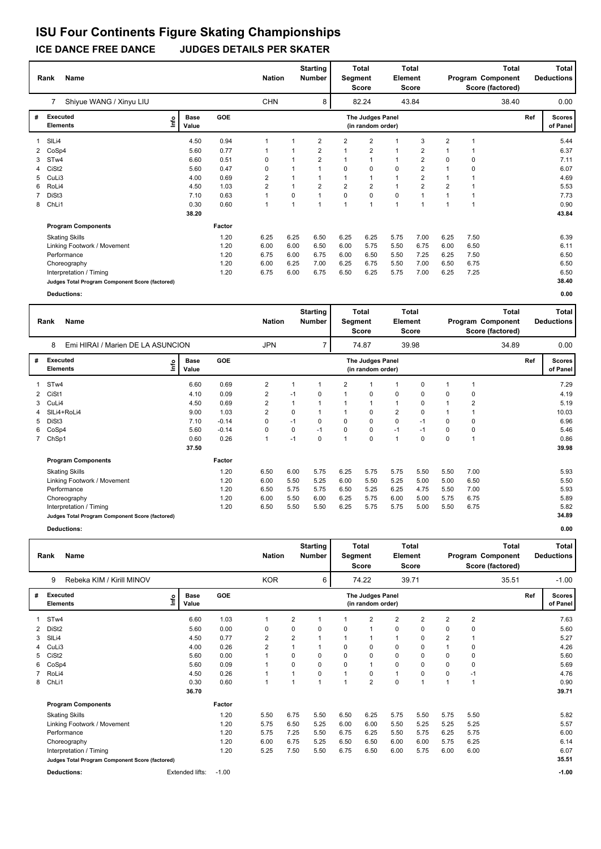### **ICE DANCE FREE DANCE JUDGES DETAILS PER SKATER**

|              | <b>Name</b><br>Rank                             |                              | <b>Nation</b> |            | <b>Starting</b><br><b>Number</b> | Segment                 | <b>Total</b><br><b>Score</b> | <b>Element</b>                        | Total<br>Score |                |                | Total<br>Program Component<br>Score (factored) |       | Total<br><b>Deductions</b> |                           |
|--------------|-------------------------------------------------|------------------------------|---------------|------------|----------------------------------|-------------------------|------------------------------|---------------------------------------|----------------|----------------|----------------|------------------------------------------------|-------|----------------------------|---------------------------|
|              | Shiyue WANG / Xinyu LIU<br>7                    |                              |               | <b>CHN</b> |                                  | 8                       |                              | 82.24                                 |                | 43.84          |                |                                                | 38.40 |                            | 0.00                      |
| #            | <b>Executed</b><br><b>Elements</b>              | <b>Base</b><br>lnfo<br>Value | <b>GOE</b>    |            |                                  |                         |                              | The Judges Panel<br>(in random order) |                |                |                |                                                |       | Ref                        | <b>Scores</b><br>of Panel |
|              | SIL <sub>i4</sub>                               | 4.50                         | 0.94          | 1          |                                  | 2                       | 2                            | $\overline{2}$                        | 1              | 3              | $\overline{2}$ |                                                |       |                            | 5.44                      |
| $\mathbf{2}$ | CoSp4                                           | 5.60                         | 0.77          | 1          |                                  | 2                       | $\mathbf 1$                  | $\overline{2}$                        | $\overline{1}$ | 2              |                |                                                |       |                            | 6.37                      |
| 3            | ST <sub>w</sub> 4                               | 6.60                         | 0.51          | 0          |                                  | $\overline{2}$          |                              |                                       | 1              | $\overline{2}$ | $\Omega$       | 0                                              |       |                            | 7.11                      |
|              | CiSt <sub>2</sub>                               | 5.60                         | 0.47          | 0          |                                  |                         | 0                            | $\mathbf 0$                           | $\mathbf 0$    | $\overline{2}$ |                | 0                                              |       |                            | 6.07                      |
| 5            | CuLi3                                           | 4.00                         | 0.69          | 2          |                                  |                         |                              | $\mathbf{1}$                          | 1              | $\overline{2}$ | $\mathbf 1$    |                                                |       |                            | 4.69                      |
| 6            | RoLi4                                           | 4.50                         | 1.03          | 2          | $\mathbf{1}$                     | $\overline{\mathbf{c}}$ | $\overline{2}$               | $\overline{2}$                        | $\mathbf{1}$   | $\overline{2}$ | $\overline{2}$ |                                                |       |                            | 5.53                      |
|              | DiSt3                                           | 7.10                         | 0.63          | 1          | 0                                |                         | 0                            | $\mathbf 0$                           | $\mathbf 0$    |                |                |                                                |       |                            | 7.73                      |
| 8            | ChLi1                                           | 0.30                         | 0.60          | 1          |                                  | 1                       | $\overline{1}$               | $\overline{1}$                        | $\overline{1}$ |                |                |                                                |       |                            | 0.90                      |
|              |                                                 | 38.20                        |               |            |                                  |                         |                              |                                       |                |                |                |                                                |       |                            | 43.84                     |
|              | <b>Program Components</b>                       |                              | Factor        |            |                                  |                         |                              |                                       |                |                |                |                                                |       |                            |                           |
|              | <b>Skating Skills</b>                           |                              | 1.20          | 6.25       | 6.25                             | 6.50                    | 6.25                         | 6.25                                  | 5.75           | 7.00           | 6.25           | 7.50                                           |       |                            | 6.39                      |
|              | Linking Footwork / Movement                     |                              | 1.20          | 6.00       | 6.00                             | 6.50                    | 6.00                         | 5.75                                  | 5.50           | 6.75           | 6.00           | 6.50                                           |       |                            | 6.11                      |
|              | Performance                                     |                              | 1.20          | 6.75       | 6.00                             | 6.75                    | 6.00                         | 6.50                                  | 5.50           | 7.25           | 6.25           | 7.50                                           |       |                            | 6.50                      |
|              | Choreography                                    |                              | 1.20          | 6.00       | 6.25                             | 7.00                    | 6.25                         | 6.75                                  | 5.50           | 7.00           | 6.50           | 6.75                                           |       |                            | 6.50                      |
|              | Interpretation / Timing                         |                              | 1.20          | 6.75       | 6.00                             | 6.75                    | 6.50                         | 6.25                                  | 5.75           | 7.00           | 6.25           | 7.25                                           |       |                            | 6.50                      |
|              | Judges Total Program Component Score (factored) |                              |               |            |                                  |                         |                              |                                       |                |                |                |                                                |       |                            | 38.40                     |
|              | <b>Deductions:</b>                              |                              |               |            |                                  |                         |                              |                                       |                |                |                |                                                |       |                            | 0.00                      |

|             | <b>Name</b><br>Rank                             |                              | <b>Nation</b> |                | <b>Starting</b><br><b>Number</b> | Segment | Total<br>Score          | Element                               | <b>Total</b><br>Score |       |             | <b>Total</b><br>Program Component<br>Score (factored) |       | <b>Total</b><br><b>Deductions</b> |                           |
|-------------|-------------------------------------------------|------------------------------|---------------|----------------|----------------------------------|---------|-------------------------|---------------------------------------|-----------------------|-------|-------------|-------------------------------------------------------|-------|-----------------------------------|---------------------------|
|             | 8<br>Emi HIRAI / Marien DE LA ASUNCION          |                              |               | <b>JPN</b>     |                                  | 7       |                         | 74.87                                 |                       | 39.98 |             |                                                       | 34.89 |                                   | 0.00                      |
| #           | Executed<br><b>Elements</b>                     | <b>Base</b><br>lnfo<br>Value | GOE           |                |                                  |         |                         | The Judges Panel<br>(in random order) |                       |       |             |                                                       |       | Ref                               | <b>Scores</b><br>of Panel |
|             | STw4                                            | 6.60                         | 0.69          | $\overline{2}$ | 1                                |         | 2                       |                                       |                       | 0     |             |                                                       |       |                                   | 7.29                      |
| 2           | CiSt1                                           | 4.10                         | 0.09          | $\overline{2}$ | $-1$                             | 0       |                         | $\Omega$                              | $\mathbf 0$           | 0     | 0           | 0                                                     |       |                                   | 4.19                      |
| 3           | CuLi4                                           | 4.50                         | 0.69          | 2              | $\mathbf{1}$                     |         |                         |                                       |                       | 0     |             | $\overline{2}$                                        |       |                                   | 5.19                      |
|             | SILi4+RoLi4                                     | 9.00                         | 1.03          | $\overline{2}$ | $\mathbf 0$                      |         |                         | $\Omega$                              | $\overline{2}$        | 0     |             |                                                       |       |                                   | 10.03                     |
| 5           | DiSt3                                           | 7.10                         | $-0.14$       | 0              | $-1$                             | 0       | $\Omega$                | $\Omega$                              | 0                     | $-1$  | 0           | 0                                                     |       |                                   | 6.96                      |
| 6           | CoSp4                                           | 5.60                         | $-0.14$       | 0              | 0                                | $-1$    | $\Omega$                | $\Omega$                              | $-1$                  | $-1$  | 0           | 0                                                     |       |                                   | 5.46                      |
| $7^{\circ}$ | ChSp1                                           | 0.60                         | 0.26          | $\overline{1}$ | $-1$                             | 0       | $\overline{\mathbf{A}}$ | $\Omega$                              | $\overline{1}$        | 0     | $\mathbf 0$ |                                                       |       |                                   | 0.86                      |
|             |                                                 | 37.50                        |               |                |                                  |         |                         |                                       |                       |       |             |                                                       |       |                                   | 39.98                     |
|             | <b>Program Components</b>                       |                              | Factor        |                |                                  |         |                         |                                       |                       |       |             |                                                       |       |                                   |                           |
|             | <b>Skating Skills</b>                           |                              | 1.20          | 6.50           | 6.00                             | 5.75    | 6.25                    | 5.75                                  | 5.75                  | 5.50  | 5.50        | 7.00                                                  |       |                                   | 5.93                      |
|             | Linking Footwork / Movement                     |                              | 1.20          | 6.00           | 5.50                             | 5.25    | 6.00                    | 5.50                                  | 5.25                  | 5.00  | 5.00        | 6.50                                                  |       |                                   | 5.50                      |
|             | Performance                                     |                              | 1.20          | 6.50           | 5.75                             | 5.75    | 6.50                    | 5.25                                  | 6.25                  | 4.75  | 5.50        | 7.00                                                  |       |                                   | 5.93                      |
|             | Choreography                                    |                              | 1.20          | 6.00           | 5.50                             | 6.00    | 6.25                    | 5.75                                  | 6.00                  | 5.00  | 5.75        | 6.75                                                  |       |                                   | 5.89                      |
|             | Interpretation / Timing                         |                              | 1.20          | 6.50           | 5.50                             | 5.50    | 6.25                    | 5.75                                  | 5.75                  | 5.00  | 5.50        | 6.75                                                  |       |                                   | 5.82                      |
|             | Judges Total Program Component Score (factored) |                              |               |                |                                  |         |                         |                                       |                       |       |             |                                                       |       |                                   | 34.89                     |

**Deductions: 0.00**

|   | <b>Name</b><br>Rank<br>Rebeka KIM / Kirill MINOV<br>9 |      |                      |         | <b>Nation</b>  |                | <b>Starting</b><br><b>Number</b> | Segment | <b>Total</b><br><b>Score</b>          | <b>Element</b> | <b>Total</b><br>Score |                |                | <b>Total</b><br>Program Component<br>Score (factored) |     | <b>Total</b><br><b>Deductions</b> |
|---|-------------------------------------------------------|------|----------------------|---------|----------------|----------------|----------------------------------|---------|---------------------------------------|----------------|-----------------------|----------------|----------------|-------------------------------------------------------|-----|-----------------------------------|
|   |                                                       |      |                      |         | <b>KOR</b>     |                | 6                                |         | 74.22                                 |                | 39.71                 |                |                | 35.51                                                 |     | $-1.00$                           |
| # | Executed<br><b>Elements</b>                           | lnfo | <b>Base</b><br>Value | GOE     |                |                |                                  |         | The Judges Panel<br>(in random order) |                |                       |                |                |                                                       | Ref | <b>Scores</b><br>of Panel         |
|   | STw4                                                  |      | 6.60                 | 1.03    |                | $\overline{2}$ | 1                                |         | $\overline{2}$                        | 2              | $\overline{2}$        | $\overline{2}$ | $\overline{2}$ |                                                       |     | 7.63                              |
| 2 | DiSt <sub>2</sub>                                     |      | 5.60                 | 0.00    | 0              | 0              | 0                                | 0       |                                       | 0              | 0                     | 0              | 0              |                                                       |     | 5.60                              |
| 3 | SIL <sub>i4</sub>                                     |      | 4.50                 | 0.77    | $\overline{2}$ | 2              |                                  |         |                                       | и              | 0                     | 2              |                |                                                       |     | 5.27                              |
|   | CuLi3                                                 |      | 4.00                 | 0.26    | $\overline{2}$ | $\overline{1}$ |                                  | 0       | 0                                     | 0              | 0                     |                | 0              |                                                       |     | 4.26                              |
| 5 | CiSt <sub>2</sub>                                     |      | 5.60                 | 0.00    |                | 0              | 0                                | 0       | 0                                     | 0              | 0                     | 0              | 0              |                                                       |     | 5.60                              |
| 6 | CoSp4                                                 |      | 5.60                 | 0.09    |                | 0              | 0                                | 0       | $\mathbf{1}$                          | 0              | 0                     | 0              | 0              |                                                       |     | 5.69                              |
|   | RoLi4                                                 |      | 4.50                 | 0.26    |                |                | 0                                |         | 0                                     | 1              | 0                     | 0              | $-1$           |                                                       |     | 4.76                              |
| 8 | ChLi1                                                 |      | 0.30                 | 0.60    | $\overline{1}$ | $\overline{1}$ | $\overline{ }$                   |         | $\overline{2}$                        | 0              | $\overline{1}$        |                | 1              |                                                       |     | 0.90                              |
|   |                                                       |      | 36.70                |         |                |                |                                  |         |                                       |                |                       |                |                |                                                       |     | 39.71                             |
|   | <b>Program Components</b>                             |      |                      | Factor  |                |                |                                  |         |                                       |                |                       |                |                |                                                       |     |                                   |
|   | <b>Skating Skills</b>                                 |      |                      | 1.20    | 5.50           | 6.75           | 5.50                             | 6.50    | 6.25                                  | 5.75           | 5.50                  | 5.75           | 5.50           |                                                       |     | 5.82                              |
|   | Linking Footwork / Movement                           |      |                      | 1.20    | 5.75           | 6.50           | 5.25                             | 6.00    | 6.00                                  | 5.50           | 5.25                  | 5.25           | 5.25           |                                                       |     | 5.57                              |
|   | Performance                                           |      |                      | 1.20    | 5.75           | 7.25           | 5.50                             | 6.75    | 6.25                                  | 5.50           | 5.75                  | 6.25           | 5.75           |                                                       |     | 6.00                              |
|   | Choreography                                          |      |                      | 1.20    | 6.00           | 6.75           | 5.25                             | 6.50    | 6.50                                  | 6.00           | 6.00                  | 5.75           | 6.25           |                                                       |     | 6.14                              |
|   | Interpretation / Timing                               |      |                      | 1.20    | 5.25           | 7.50           | 5.50                             | 6.75    | 6.50                                  | 6.00           | 5.75                  | 6.00           | 6.00           |                                                       |     | 6.07                              |
|   | Judges Total Program Component Score (factored)       |      |                      |         |                |                |                                  |         |                                       |                |                       |                |                |                                                       |     | 35.51                             |
|   | <b>Deductions:</b>                                    |      | Extended lifts:      | $-1.00$ |                |                |                                  |         |                                       |                |                       |                |                |                                                       |     | $-1.00$                           |